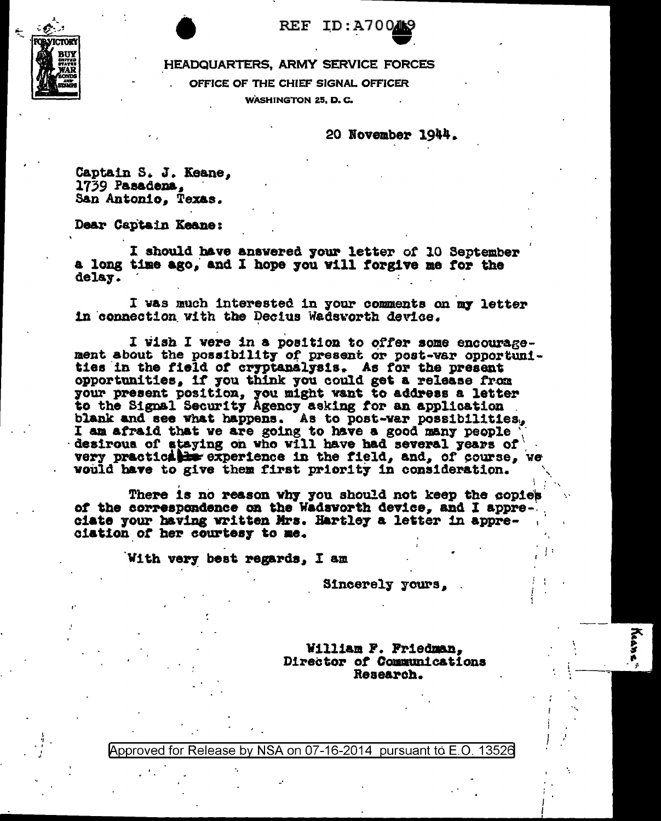

HEADQUARTERS, ARMY SERVICE FORCES OFFICE OF THE CHIEF SIGNAL OFFICER WASHINGTON 25, D.C.

20 November 1944.

Captain S. J. Keane. 1739 Pasadena. San Antonio. Texas.

Dear Captain Keane:

I should have answered your letter of 10 September a long time ago, and I hope you will forgive me for the delay.

I was much interested in your comments on my letter in connection with the Decius Wadsworth device.

I wish I were in a position to offer some encouragement about the possibility of present or post-war opportuni-<br>ties in the field of cryptanalysis. As for the present opportunities, if you think you could get a release from your present position, you might want to address a letter to the Signal Security Agency asking for an application blank and see what happens. As to post-war possibilities. I am afraid that we are going to have a good many people desirous of staying on who will have had several years of very practically experience in the field, and, of course, we would have to give them first priority in consideration.

There is no reason why you should not keep the copies of the correspondence on the Wadsworth device, and I appreciate your having written Mrs. Hartley a letter in appreciation of her courtesy to me.

With very best regards, I am

Sincerely yours, .

William F. Friedman, Director of Communications Research.

ř.

Approved for Release by NSA on 07-16-2014 pursuant to E.O. 13526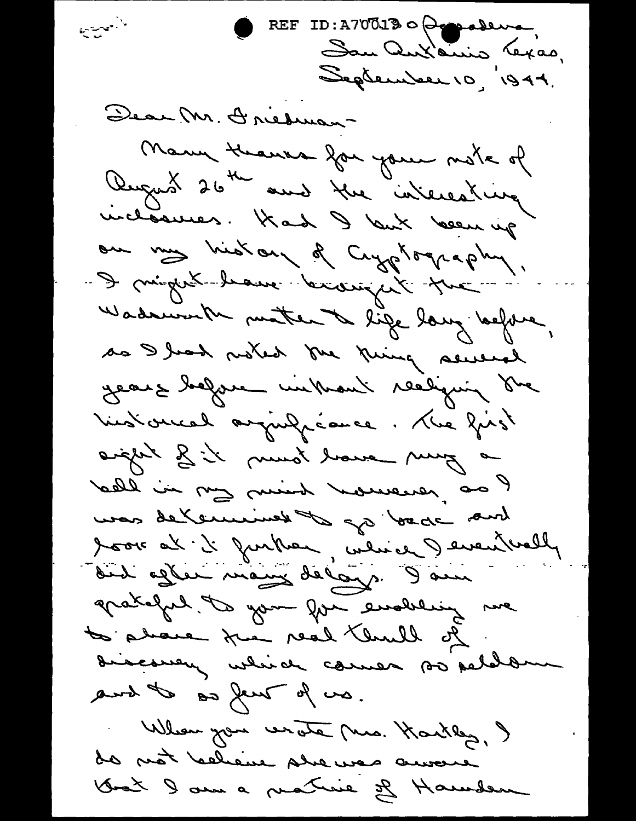REF ID: A700130 Compose الأجوج والمحافظة San Antanio Texas, September 10, 1944. Dear M. Dredman-Many Heaves for your mote of Rugus 26th and the interesting incloances. Kad I kut been up ou my history of Cryptography. - I mingert branc braingert pre Wadsworth matter to life long before, as I had noted the king several years before unbrant realying one Victorcal arguliance. The your aight of it must baue my a lead in my mind however, as une delemines de poisson de book at it further, which I eventuelly did afler mang de logs. I am apatalat les your forme endersing me to please the real third of descovery which comes so peldom and to say her of wa. When you wrate me. Karkley, y do not believe she was encore Grat le sur a practice de Haunden